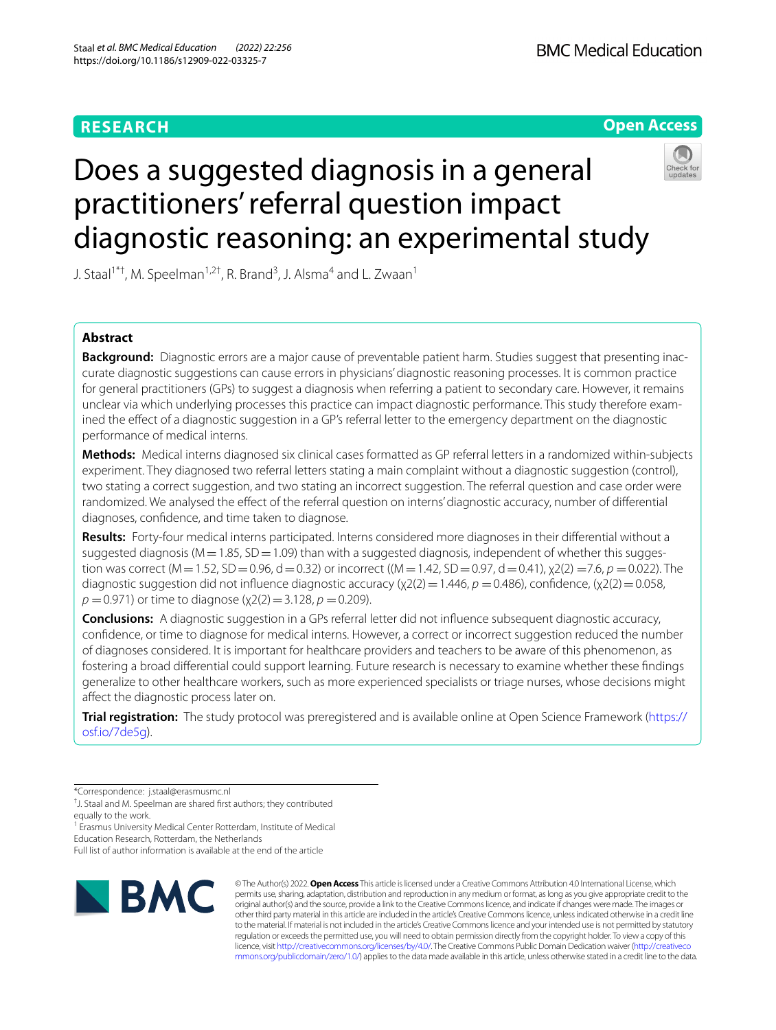# **RESEARCH**



# Does a suggested diagnosis in a general practitioners' referral question impact diagnostic reasoning: an experimental study



J. Staal<sup>1\*†</sup>, M. Speelman<sup>1,2†</sup>, R. Brand<sup>3</sup>, J. Alsma<sup>4</sup> and L. Zwaan<sup>1</sup>

# **Abstract**

**Background:** Diagnostic errors are a major cause of preventable patient harm. Studies suggest that presenting inaccurate diagnostic suggestions can cause errors in physicians' diagnostic reasoning processes. It is common practice for general practitioners (GPs) to suggest a diagnosis when referring a patient to secondary care. However, it remains unclear via which underlying processes this practice can impact diagnostic performance. This study therefore examined the efect of a diagnostic suggestion in a GP's referral letter to the emergency department on the diagnostic performance of medical interns.

**Methods:** Medical interns diagnosed six clinical cases formatted as GP referral letters in a randomized within-subjects experiment. They diagnosed two referral letters stating a main complaint without a diagnostic suggestion (control), two stating a correct suggestion, and two stating an incorrect suggestion. The referral question and case order were randomized. We analysed the efect of the referral question on interns' diagnostic accuracy, number of diferential diagnoses, confdence, and time taken to diagnose.

**Results:** Forty-four medical interns participated. Interns considered more diagnoses in their diferential without a suggested diagnosis ( $M=1.85$ , SD = 1.09) than with a suggested diagnosis, independent of whether this suggestion was correct (M=1.52, SD=0.96, d=0.32) or incorrect ((M=1.42, SD=0.97, d=0.41), χ2(2) =7.6, *p* =0.022). The diagnostic suggestion did not influence diagnostic accuracy (χ2(2) = 1.446, *p* = 0.486), confidence, (χ2(2) = 0.058, *p* = 0.971) or time to diagnose (x2(2) = 3.128, *p* = 0.209).

**Conclusions:** A diagnostic suggestion in a GPs referral letter did not infuence subsequent diagnostic accuracy, confdence, or time to diagnose for medical interns. However, a correct or incorrect suggestion reduced the number of diagnoses considered. It is important for healthcare providers and teachers to be aware of this phenomenon, as fostering a broad diferential could support learning. Future research is necessary to examine whether these fndings generalize to other healthcare workers, such as more experienced specialists or triage nurses, whose decisions might afect the diagnostic process later on.

**Trial registration:** The study protocol was preregistered and is available online at Open Science Framework [\(https://](https://osf.io/7de5g) [osf.io/7de5g\)](https://osf.io/7de5g).

equally to the work.

<sup>1</sup> Erasmus University Medical Center Rotterdam, Institute of Medical

Education Research, Rotterdam, the Netherlands

Full list of author information is available at the end of the article



© The Author(s) 2022. **Open Access** This article is licensed under a Creative Commons Attribution 4.0 International License, which permits use, sharing, adaptation, distribution and reproduction in any medium or format, as long as you give appropriate credit to the original author(s) and the source, provide a link to the Creative Commons licence, and indicate if changes were made. The images or other third party material in this article are included in the article's Creative Commons licence, unless indicated otherwise in a credit line to the material. If material is not included in the article's Creative Commons licence and your intended use is not permitted by statutory regulation or exceeds the permitted use, you will need to obtain permission directly from the copyright holder. To view a copy of this licence, visit [http://creativecommons.org/licenses/by/4.0/.](http://creativecommons.org/licenses/by/4.0/) The Creative Commons Public Domain Dedication waiver ([http://creativeco](http://creativecommons.org/publicdomain/zero/1.0/) [mmons.org/publicdomain/zero/1.0/](http://creativecommons.org/publicdomain/zero/1.0/)) applies to the data made available in this article, unless otherwise stated in a credit line to the data.

<sup>\*</sup>Correspondence: j.staal@erasmusmc.nl

<sup>†</sup> J. Staal and M. Speelman are shared frst authors; they contributed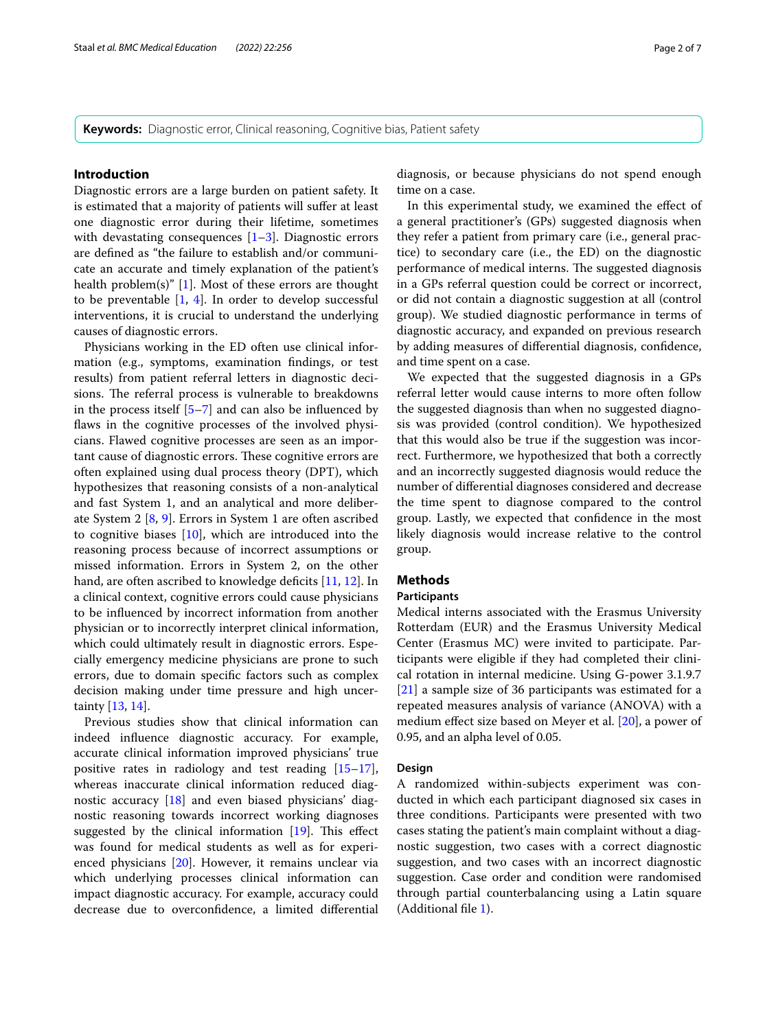**Keywords:** Diagnostic error, Clinical reasoning, Cognitive bias, Patient safety

#### **Introduction**

Diagnostic errors are a large burden on patient safety. It is estimated that a majority of patients will sufer at least one diagnostic error during their lifetime, sometimes with devastating consequences  $[1-3]$  $[1-3]$ . Diagnostic errors are defned as "the failure to establish and/or communicate an accurate and timely explanation of the patient's health problem(s)" [\[1](#page-6-0)]. Most of these errors are thought to be preventable  $[1, 4]$  $[1, 4]$  $[1, 4]$  $[1, 4]$ . In order to develop successful interventions, it is crucial to understand the underlying causes of diagnostic errors.

Physicians working in the ED often use clinical information (e.g., symptoms, examination fndings, or test results) from patient referral letters in diagnostic decisions. The referral process is vulnerable to breakdowns in the process itself  $[5-7]$  $[5-7]$  and can also be influenced by flaws in the cognitive processes of the involved physicians. Flawed cognitive processes are seen as an important cause of diagnostic errors. These cognitive errors are often explained using dual process theory (DPT), which hypothesizes that reasoning consists of a non-analytical and fast System 1, and an analytical and more deliberate System 2 [\[8](#page-6-5), [9](#page-6-6)]. Errors in System 1 are often ascribed to cognitive biases  $[10]$  $[10]$  $[10]$ , which are introduced into the reasoning process because of incorrect assumptions or missed information. Errors in System 2, on the other hand, are often ascribed to knowledge deficits [[11,](#page-6-8) [12\]](#page-6-9). In a clinical context, cognitive errors could cause physicians to be infuenced by incorrect information from another physician or to incorrectly interpret clinical information, which could ultimately result in diagnostic errors. Especially emergency medicine physicians are prone to such errors, due to domain specifc factors such as complex decision making under time pressure and high uncertainty [[13,](#page-6-10) [14\]](#page-6-11).

Previous studies show that clinical information can indeed infuence diagnostic accuracy. For example, accurate clinical information improved physicians' true positive rates in radiology and test reading  $[15-17]$  $[15-17]$  $[15-17]$ , whereas inaccurate clinical information reduced diagnostic accuracy [[18](#page-6-14)] and even biased physicians' diagnostic reasoning towards incorrect working diagnoses suggested by the clinical information  $[19]$  $[19]$  $[19]$ . This effect was found for medical students as well as for experienced physicians [[20\]](#page-6-16). However, it remains unclear via which underlying processes clinical information can impact diagnostic accuracy. For example, accuracy could decrease due to overconfdence, a limited diferential

diagnosis, or because physicians do not spend enough time on a case.

In this experimental study, we examined the efect of a general practitioner's (GPs) suggested diagnosis when they refer a patient from primary care (i.e., general practice) to secondary care (i.e., the ED) on the diagnostic performance of medical interns. The suggested diagnosis in a GPs referral question could be correct or incorrect, or did not contain a diagnostic suggestion at all (control group). We studied diagnostic performance in terms of diagnostic accuracy, and expanded on previous research by adding measures of diferential diagnosis, confdence, and time spent on a case.

We expected that the suggested diagnosis in a GPs referral letter would cause interns to more often follow the suggested diagnosis than when no suggested diagnosis was provided (control condition). We hypothesized that this would also be true if the suggestion was incorrect. Furthermore, we hypothesized that both a correctly and an incorrectly suggested diagnosis would reduce the number of diferential diagnoses considered and decrease the time spent to diagnose compared to the control group. Lastly, we expected that confdence in the most likely diagnosis would increase relative to the control group.

## **Methods**

## **Participants**

Medical interns associated with the Erasmus University Rotterdam (EUR) and the Erasmus University Medical Center (Erasmus MC) were invited to participate. Participants were eligible if they had completed their clinical rotation in internal medicine. Using G-power 3.1.9.7 [[21\]](#page-6-17) a sample size of 36 participants was estimated for a repeated measures analysis of variance (ANOVA) with a medium efect size based on Meyer et al. [[20](#page-6-16)], a power of 0.95, and an alpha level of 0.05.

#### **Design**

A randomized within-subjects experiment was conducted in which each participant diagnosed six cases in three conditions. Participants were presented with two cases stating the patient's main complaint without a diagnostic suggestion, two cases with a correct diagnostic suggestion, and two cases with an incorrect diagnostic suggestion. Case order and condition were randomised through partial counterbalancing using a Latin square (Additional fle [1](#page-5-0)).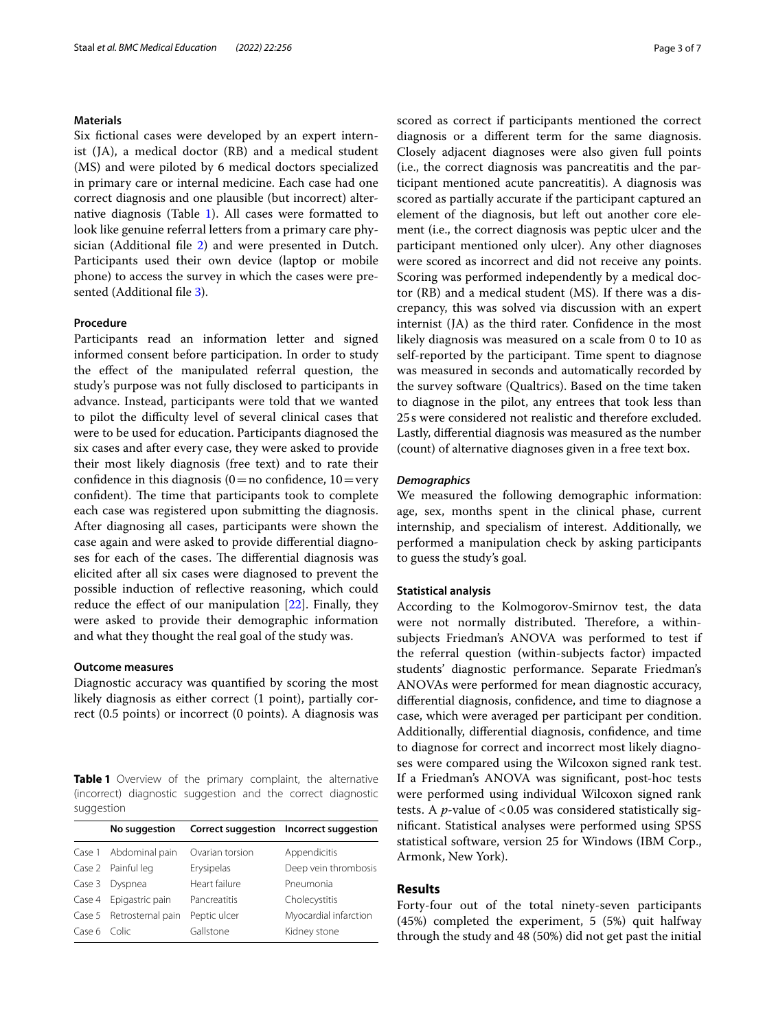## **Materials**

Six fictional cases were developed by an expert internist (JA), a medical doctor (RB) and a medical student (MS) and were piloted by 6 medical doctors specialized in primary care or internal medicine. Each case had one correct diagnosis and one plausible (but incorrect) alternative diagnosis (Table [1\)](#page-2-0). All cases were formatted to look like genuine referral letters from a primary care phy-sician (Additional file [2](#page-5-1)) and were presented in Dutch. Participants used their own device (laptop or mobile phone) to access the survey in which the cases were pre-sented (Additional file [3](#page-5-2)).

## **Procedure**

Participants read an information letter and signed informed consent before participation. In order to study the efect of the manipulated referral question, the study's purpose was not fully disclosed to participants in advance. Instead, participants were told that we wanted to pilot the difficulty level of several clinical cases that were to be used for education. Participants diagnosed the six cases and after every case, they were asked to provide their most likely diagnosis (free text) and to rate their confidence in this diagnosis  $(0=$  no confidence,  $10=$ very confident). The time that participants took to complete each case was registered upon submitting the diagnosis. After diagnosing all cases, participants were shown the case again and were asked to provide diferential diagnoses for each of the cases. The differential diagnosis was elicited after all six cases were diagnosed to prevent the possible induction of refective reasoning, which could reduce the efect of our manipulation [[22](#page-6-18)]. Finally, they were asked to provide their demographic information and what they thought the real goal of the study was.

#### **Outcome measures**

Diagnostic accuracy was quantifed by scoring the most likely diagnosis as either correct (1 point), partially correct (0.5 points) or incorrect (0 points). A diagnosis was

<span id="page-2-0"></span>**Table 1** Overview of the primary complaint, the alternative (incorrect) diagnostic suggestion and the correct diagnostic suggestion

|              | No suggestion            |                 | Correct suggestion Incorrect suggestion |
|--------------|--------------------------|-----------------|-----------------------------------------|
|              | Case 1 Abdominal pain    | Ovarian torsion | Appendicitis                            |
|              | Case 2 Painful leg       | Erysipelas      | Deep vein thrombosis                    |
| Case 3       | Dyspnea                  | Heart failure   | Pneumonia                               |
| Case 4       | Epigastric pain          | Pancreatitis    | Cholecystitis                           |
|              | Case 5 Retrosternal pain | Peptic ulcer    | Myocardial infarction                   |
| Case 6 Colic |                          | Gallstone       | Kidney stone                            |

scored as correct if participants mentioned the correct diagnosis or a diferent term for the same diagnosis. Closely adjacent diagnoses were also given full points (i.e., the correct diagnosis was pancreatitis and the participant mentioned acute pancreatitis). A diagnosis was scored as partially accurate if the participant captured an element of the diagnosis, but left out another core element (i.e., the correct diagnosis was peptic ulcer and the participant mentioned only ulcer). Any other diagnoses were scored as incorrect and did not receive any points. Scoring was performed independently by a medical doctor (RB) and a medical student (MS). If there was a discrepancy, this was solved via discussion with an expert internist (JA) as the third rater. Confdence in the most likely diagnosis was measured on a scale from 0 to 10 as self-reported by the participant. Time spent to diagnose was measured in seconds and automatically recorded by the survey software (Qualtrics). Based on the time taken to diagnose in the pilot, any entrees that took less than 25s were considered not realistic and therefore excluded. Lastly, diferential diagnosis was measured as the number (count) of alternative diagnoses given in a free text box.

#### *Demographics*

We measured the following demographic information: age, sex, months spent in the clinical phase, current internship, and specialism of interest. Additionally, we performed a manipulation check by asking participants to guess the study's goal.

#### **Statistical analysis**

According to the Kolmogorov-Smirnov test, the data were not normally distributed. Therefore, a withinsubjects Friedman's ANOVA was performed to test if the referral question (within-subjects factor) impacted students' diagnostic performance. Separate Friedman's ANOVAs were performed for mean diagnostic accuracy, diferential diagnosis, confdence, and time to diagnose a case, which were averaged per participant per condition. Additionally, diferential diagnosis, confdence, and time to diagnose for correct and incorrect most likely diagnoses were compared using the Wilcoxon signed rank test. If a Friedman's ANOVA was signifcant, post-hoc tests were performed using individual Wilcoxon signed rank tests. A *p*-value of <0.05 was considered statistically signifcant. Statistical analyses were performed using SPSS statistical software, version 25 for Windows (IBM Corp., Armonk, New York).

## **Results**

Forty-four out of the total ninety-seven participants (45%) completed the experiment, 5 (5%) quit halfway through the study and 48 (50%) did not get past the initial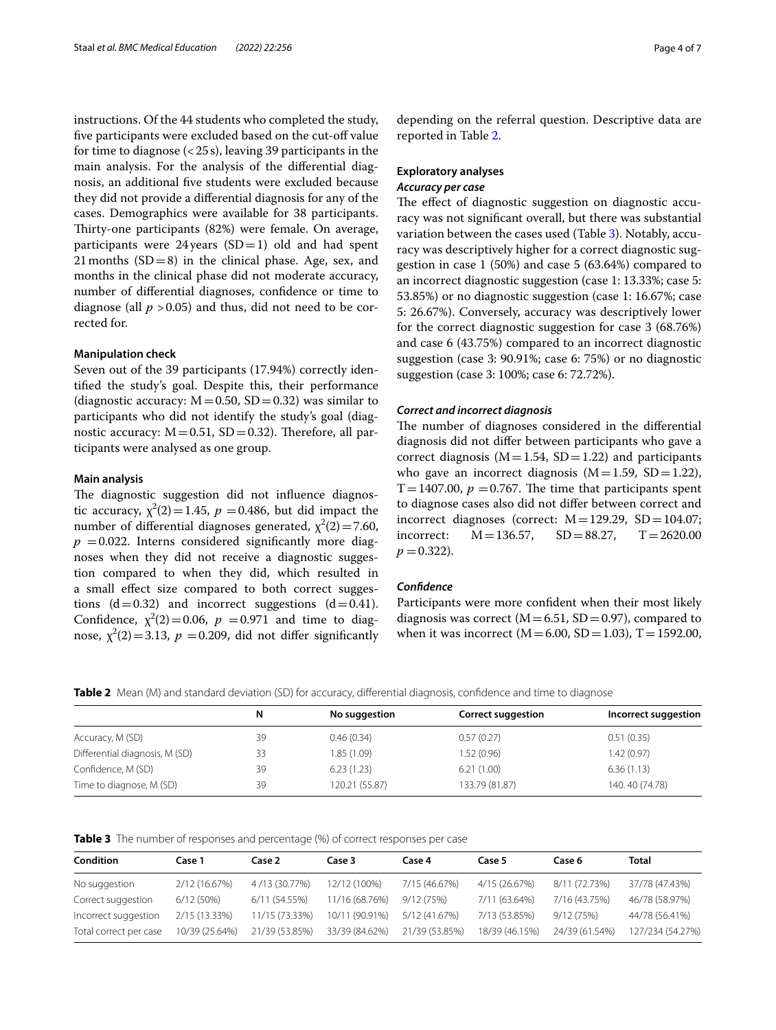instructions. Of the 44 students who completed the study, five participants were excluded based on the cut-off value for time to diagnose  $\left( < 25 \text{ s} \right)$ , leaving 39 participants in the main analysis. For the analysis of the diferential diagnosis, an additional fve students were excluded because they did not provide a diferential diagnosis for any of the cases. Demographics were available for 38 participants. Thirty-one participants (82%) were female. On average, participants were 24 years  $(SD=1)$  old and had spent 21 months  $(SD=8)$  in the clinical phase. Age, sex, and months in the clinical phase did not moderate accuracy, number of diferential diagnoses, confdence or time to diagnose (all  $p > 0.05$ ) and thus, did not need to be corrected for.

## **Manipulation check**

Seven out of the 39 participants (17.94%) correctly identifed the study's goal. Despite this, their performance (diagnostic accuracy:  $M = 0.50$ ,  $SD = 0.32$ ) was similar to participants who did not identify the study's goal (diagnostic accuracy:  $M = 0.51$ ,  $SD = 0.32$ ). Therefore, all participants were analysed as one group.

#### **Main analysis**

The diagnostic suggestion did not influence diagnostic accuracy,  $\chi^2(2) = 1.45$ ,  $p = 0.486$ , but did impact the number of differential diagnoses generated,  $\chi^2(2) = 7.60$ ,  $p = 0.022$ . Interns considered significantly more diagnoses when they did not receive a diagnostic suggestion compared to when they did, which resulted in a small efect size compared to both correct suggestions  $(d=0.32)$  and incorrect suggestions  $(d=0.41)$ . Confidence,  $\chi^2(2) = 0.06$ ,  $p = 0.971$  and time to diagnose,  $\chi^2(2)$  = 3.13,  $p$  = 0.209, did not differ significantly depending on the referral question. Descriptive data are reported in Table [2.](#page-3-0)

## **Exploratory analyses** *Accuracy per case*

The effect of diagnostic suggestion on diagnostic accuracy was not signifcant overall, but there was substantial variation between the cases used (Table [3](#page-3-1)). Notably, accuracy was descriptively higher for a correct diagnostic suggestion in case 1 (50%) and case 5 (63.64%) compared to an incorrect diagnostic suggestion (case 1: 13.33%; case 5: 53.85%) or no diagnostic suggestion (case 1: 16.67%; case 5: 26.67%). Conversely, accuracy was descriptively lower for the correct diagnostic suggestion for case 3 (68.76%) and case 6 (43.75%) compared to an incorrect diagnostic suggestion (case 3: 90.91%; case 6: 75%) or no diagnostic suggestion (case 3: 100%; case 6: 72.72%).

#### *Correct and incorrect diagnosis*

The number of diagnoses considered in the differential diagnosis did not difer between participants who gave a correct diagnosis ( $M=1.54$ ,  $SD=1.22$ ) and participants who gave an incorrect diagnosis  $(M=1.59, SD=1.22)$ , T=1407.00,  $p = 0.767$ . The time that participants spent to diagnose cases also did not difer between correct and incorrect diagnoses (correct:  $M = 129.29$ , SD = 104.07;<br>incorrect:  $M = 136.57$ , SD = 88.27, T = 2620.00  $M = 136.57$ ,  $p = 0.322$ .

#### *Confdence*

Participants were more confdent when their most likely diagnosis was correct ( $M=6.51$ , SD=0.97), compared to when it was incorrect ( $M = 6.00$ , SD = 1.03), T = 1592.00,

<span id="page-3-0"></span>**Table 2** Mean (M) and standard deviation (SD) for accuracy, differential diagnosis, confidence and time to diagnose

|                                | N  | No suggestion  | <b>Correct suggestion</b> | Incorrect suggestion |
|--------------------------------|----|----------------|---------------------------|----------------------|
| Accuracy, M (SD)               | 39 | 0.46(0.34)     | 0.57(0.27)                | 0.51(0.35)           |
| Differential diagnosis, M (SD) | 33 | 1.85(1.09)     | 1.52 (0.96)               | 1.42(0.97)           |
| Confidence, M (SD)             | 39 | 6.23(1.23)     | 6.21(1.00)                | 6.36(1.13)           |
| Time to diagnose, M (SD)       | 39 | 120.21 (55.87) | 133.79 (81.87)            | 140.40 (74.78)       |

<span id="page-3-1"></span>

|  |  |  |  | <b>Table 3</b> The number of responses and percentage (%) of correct responses per case |  |
|--|--|--|--|-----------------------------------------------------------------------------------------|--|
|--|--|--|--|-----------------------------------------------------------------------------------------|--|

| <b>Condition</b>       | Case 1         | Case 2         | Case 3         | Case 4         | Case 5         | Case 6         | <b>Total</b>     |
|------------------------|----------------|----------------|----------------|----------------|----------------|----------------|------------------|
| No suggestion          | 2/12 (16.67%)  | 4/13 (30.77%)  | 12/12 (100%)   | 7/15 (46.67%)  | 4/15 (26.67%)  | 8/11 (72.73%)  | 37/78 (47.43%)   |
| Correct suggestion     | 6/12(50%)      | 6/11 (54.55%)  | 11/16 (68.76%) | 9/12 (75%)     | 7/11 (63.64%)  | 7/16 (43.75%)  | 46/78 (58.97%)   |
| Incorrect suggestion   | 2/15 (13.33%)  | 11/15 (73.33%) | 10/11 (90.91%) | 5/12 (41.67%)  | 7/13 (53.85%)  | 9/12(75%)      | 44/78 (56.41%)   |
| Total correct per case | 10/39 (25.64%) | 21/39 (53.85%) | 33/39 (84.62%) | 21/39 (53.85%) | 18/39 (46.15%) | 24/39 (61.54%) | 127/234 (54.27%) |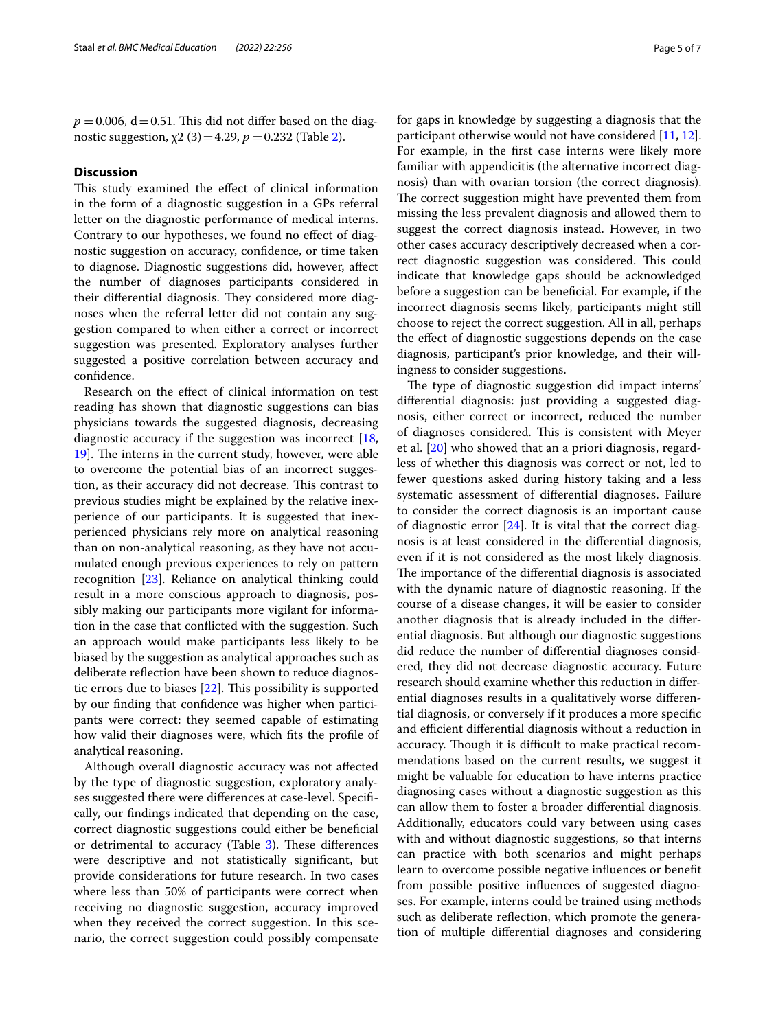$p = 0.006$ ,  $d = 0.51$ . This did not differ based on the diagnostic suggestion,  $χ2(3) = 4.29, p = 0.232$  (Table [2\)](#page-3-0).

## **Discussion**

This study examined the effect of clinical information in the form of a diagnostic suggestion in a GPs referral letter on the diagnostic performance of medical interns. Contrary to our hypotheses, we found no efect of diagnostic suggestion on accuracy, confdence, or time taken to diagnose. Diagnostic suggestions did, however, afect the number of diagnoses participants considered in their differential diagnosis. They considered more diagnoses when the referral letter did not contain any suggestion compared to when either a correct or incorrect suggestion was presented. Exploratory analyses further suggested a positive correlation between accuracy and confdence.

Research on the efect of clinical information on test reading has shown that diagnostic suggestions can bias physicians towards the suggested diagnosis, decreasing diagnostic accuracy if the suggestion was incorrect  $[18,$  $[18,$ [19\]](#page-6-15). The interns in the current study, however, were able to overcome the potential bias of an incorrect suggestion, as their accuracy did not decrease. This contrast to previous studies might be explained by the relative inexperience of our participants. It is suggested that inexperienced physicians rely more on analytical reasoning than on non-analytical reasoning, as they have not accumulated enough previous experiences to rely on pattern recognition [[23](#page-6-19)]. Reliance on analytical thinking could result in a more conscious approach to diagnosis, possibly making our participants more vigilant for information in the case that conficted with the suggestion. Such an approach would make participants less likely to be biased by the suggestion as analytical approaches such as deliberate refection have been shown to reduce diagnostic errors due to biases  $[22]$  $[22]$ . This possibility is supported by our fnding that confdence was higher when participants were correct: they seemed capable of estimating how valid their diagnoses were, which fts the profle of analytical reasoning.

Although overall diagnostic accuracy was not afected by the type of diagnostic suggestion, exploratory analyses suggested there were diferences at case-level. Specifcally, our fndings indicated that depending on the case, correct diagnostic suggestions could either be benefcial or detrimental to accuracy (Table [3\)](#page-3-1). These differences were descriptive and not statistically signifcant, but provide considerations for future research. In two cases where less than 50% of participants were correct when receiving no diagnostic suggestion, accuracy improved when they received the correct suggestion. In this scenario, the correct suggestion could possibly compensate for gaps in knowledge by suggesting a diagnosis that the participant otherwise would not have considered [\[11,](#page-6-8) [12](#page-6-9)]. For example, in the frst case interns were likely more familiar with appendicitis (the alternative incorrect diagnosis) than with ovarian torsion (the correct diagnosis). The correct suggestion might have prevented them from missing the less prevalent diagnosis and allowed them to suggest the correct diagnosis instead. However, in two other cases accuracy descriptively decreased when a correct diagnostic suggestion was considered. This could indicate that knowledge gaps should be acknowledged before a suggestion can be benefcial. For example, if the incorrect diagnosis seems likely, participants might still choose to reject the correct suggestion. All in all, perhaps the efect of diagnostic suggestions depends on the case diagnosis, participant's prior knowledge, and their willingness to consider suggestions.

The type of diagnostic suggestion did impact interns' diferential diagnosis: just providing a suggested diagnosis, either correct or incorrect, reduced the number of diagnoses considered. This is consistent with Meyer et al. [\[20](#page-6-16)] who showed that an a priori diagnosis, regardless of whether this diagnosis was correct or not, led to fewer questions asked during history taking and a less systematic assessment of diferential diagnoses. Failure to consider the correct diagnosis is an important cause of diagnostic error  $[24]$  $[24]$ . It is vital that the correct diagnosis is at least considered in the diferential diagnosis, even if it is not considered as the most likely diagnosis. The importance of the differential diagnosis is associated with the dynamic nature of diagnostic reasoning. If the course of a disease changes, it will be easier to consider another diagnosis that is already included in the diferential diagnosis. But although our diagnostic suggestions did reduce the number of diferential diagnoses considered, they did not decrease diagnostic accuracy. Future research should examine whether this reduction in diferential diagnoses results in a qualitatively worse diferential diagnosis, or conversely if it produces a more specifc and efficient differential diagnosis without a reduction in accuracy. Though it is difficult to make practical recommendations based on the current results, we suggest it might be valuable for education to have interns practice diagnosing cases without a diagnostic suggestion as this can allow them to foster a broader diferential diagnosis. Additionally, educators could vary between using cases with and without diagnostic suggestions, so that interns can practice with both scenarios and might perhaps learn to overcome possible negative infuences or beneft from possible positive infuences of suggested diagnoses. For example, interns could be trained using methods such as deliberate reflection, which promote the generation of multiple diferential diagnoses and considering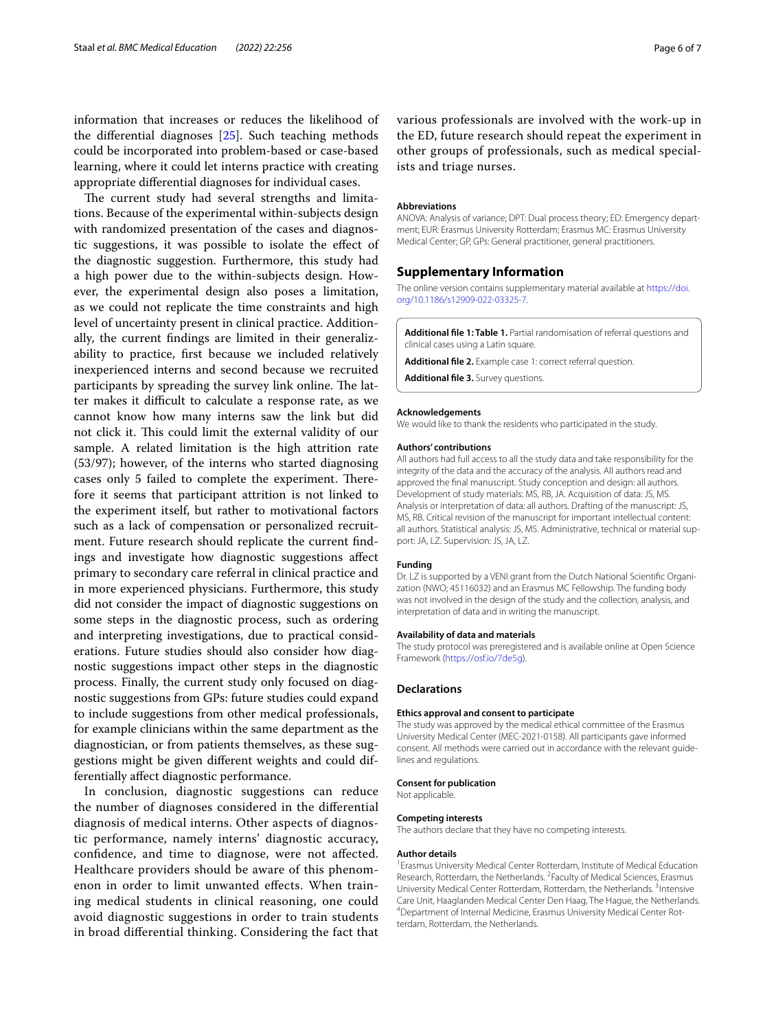information that increases or reduces the likelihood of the diferential diagnoses [\[25\]](#page-6-21). Such teaching methods could be incorporated into problem-based or case-based learning, where it could let interns practice with creating appropriate diferential diagnoses for individual cases.

The current study had several strengths and limitations. Because of the experimental within-subjects design with randomized presentation of the cases and diagnostic suggestions, it was possible to isolate the efect of the diagnostic suggestion. Furthermore, this study had a high power due to the within-subjects design. However, the experimental design also poses a limitation, as we could not replicate the time constraints and high level of uncertainty present in clinical practice. Additionally, the current fndings are limited in their generalizability to practice, frst because we included relatively inexperienced interns and second because we recruited participants by spreading the survey link online. The latter makes it difficult to calculate a response rate, as we cannot know how many interns saw the link but did not click it. This could limit the external validity of our sample. A related limitation is the high attrition rate (53/97); however, of the interns who started diagnosing cases only 5 failed to complete the experiment. Therefore it seems that participant attrition is not linked to the experiment itself, but rather to motivational factors such as a lack of compensation or personalized recruitment. Future research should replicate the current fndings and investigate how diagnostic suggestions afect primary to secondary care referral in clinical practice and in more experienced physicians. Furthermore, this study did not consider the impact of diagnostic suggestions on some steps in the diagnostic process, such as ordering and interpreting investigations, due to practical considerations. Future studies should also consider how diagnostic suggestions impact other steps in the diagnostic process. Finally, the current study only focused on diagnostic suggestions from GPs: future studies could expand to include suggestions from other medical professionals, for example clinicians within the same department as the diagnostician, or from patients themselves, as these suggestions might be given diferent weights and could differentially afect diagnostic performance.

In conclusion, diagnostic suggestions can reduce the number of diagnoses considered in the diferential diagnosis of medical interns. Other aspects of diagnostic performance, namely interns' diagnostic accuracy, confdence, and time to diagnose, were not afected. Healthcare providers should be aware of this phenomenon in order to limit unwanted efects. When training medical students in clinical reasoning, one could avoid diagnostic suggestions in order to train students in broad diferential thinking. Considering the fact that various professionals are involved with the work-up in the ED, future research should repeat the experiment in other groups of professionals, such as medical specialists and triage nurses.

#### **Abbreviations**

ANOVA: Analysis of variance; DPT: Dual process theory; ED: Emergency department; EUR: Erasmus University Rotterdam; Erasmus MC: Erasmus University Medical Center; GP, GPs: General practitioner, general practitioners.

#### **Supplementary Information**

The online version contains supplementary material available at [https://doi.](https://doi.org/10.1186/s12909-022-03325-7) [org/10.1186/s12909-022-03325-7](https://doi.org/10.1186/s12909-022-03325-7).

<span id="page-5-1"></span><span id="page-5-0"></span>**Additional fle 1: Table 1.** Partial randomisation of referral questions and clinical cases using a Latin square.

<span id="page-5-2"></span>**Additional fle 2.** Example case 1: correct referral question.

**Additional fle 3.** Survey questions.

#### **Acknowledgements**

We would like to thank the residents who participated in the study.

#### **Authors' contributions**

All authors had full access to all the study data and take responsibility for the integrity of the data and the accuracy of the analysis. All authors read and approved the fnal manuscript. Study conception and design: all authors. Development of study materials: MS, RB, JA. Acquisition of data: JS, MS. Analysis or interpretation of data: all authors. Drafting of the manuscript: JS, MS, RB. Critical revision of the manuscript for important intellectual content: all authors. Statistical analysis: JS, MS. Administrative, technical or material support: JA, LZ. Supervision: JS, JA, LZ.

#### **Funding**

Dr. LZ is supported by a VENI grant from the Dutch National Scientifc Organization (NWO; 45116032) and an Erasmus MC Fellowship. The funding body was not involved in the design of the study and the collection, analysis, and interpretation of data and in writing the manuscript.

#### **Availability of data and materials**

The study protocol was preregistered and is available online at Open Science Framework (<https://osf.io/7de5g>).

#### **Declarations**

#### **Ethics approval and consent to participate**

The study was approved by the medical ethical committee of the Erasmus University Medical Center (MEC-2021-0158). All participants gave informed consent. All methods were carried out in accordance with the relevant guidelines and regulations.

#### **Consent for publication**

Not applicable.

#### **Competing interests**

The authors declare that they have no competing interests.

#### **Author details**

<sup>1</sup> Erasmus University Medical Center Rotterdam, Institute of Medical Education Research, Rotterdam, the Netherlands. <sup>2</sup> Faculty of Medical Sciences, Erasmus University Medical Center Rotterdam, Rotterdam, the Netherlands.<sup>3</sup> Intensive Care Unit, Haaglanden Medical Center Den Haag, The Hague, the Netherlands. 4 Department of Internal Medicine, Erasmus University Medical Center Rotterdam, Rotterdam, the Netherlands.